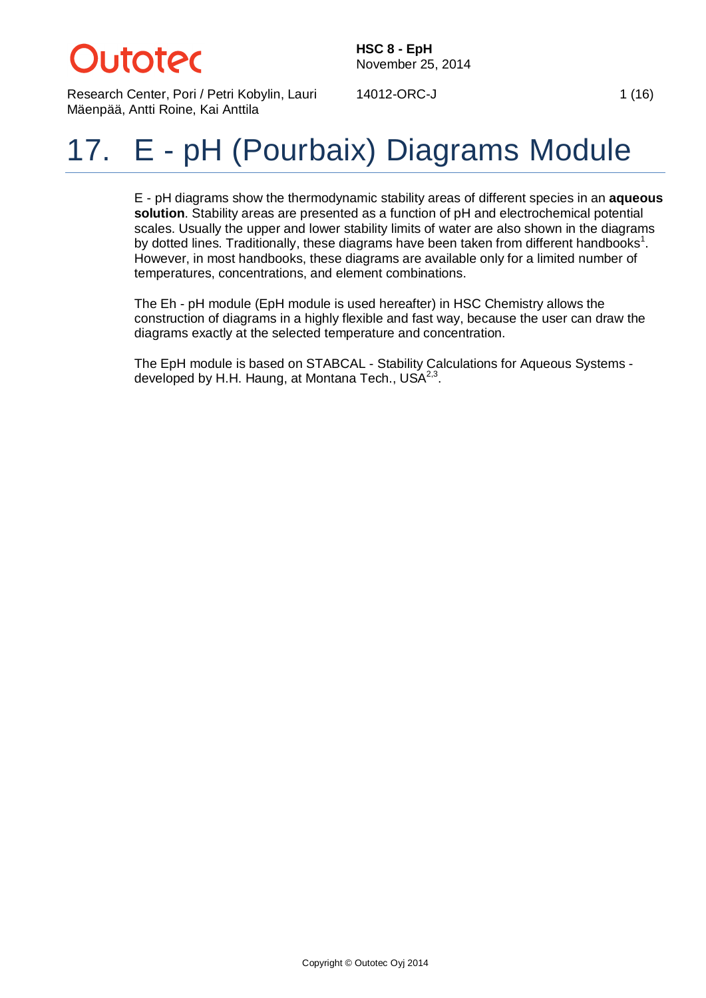# *utotec*

**HSC 8 - EpH** November 25, 2014

Research Center, Pori / Petri Kobylin, Lauri Mäenpää, Antti Roine, Kai Anttila

14012-ORC-J 1(16)

## 17. E - pH (Pourbaix) Diagrams Module

E - pH diagrams show the thermodynamic stability areas of different species in an **aqueous solution**. Stability areas are presented as a function of pH and electrochemical potential scales. Usually the upper and lower stability limits of water are also shown in the diagrams by dotted lines. Traditionally, these diagrams have been taken from different handbooks<sup>1</sup>. However, in most handbooks, these diagrams are available only for a limited number of temperatures, concentrations, and element combinations.

The Eh - pH module (EpH module is used hereafter) in HSC Chemistry allows the construction of diagrams in a highly flexible and fast way, because the user can draw the diagrams exactly at the selected temperature and concentration.

The EpH module is based on STABCAL - Stability Calculations for Aqueous Systems developed by H.H. Haung, at Montana Tech.,  $USA^{2,3}$ .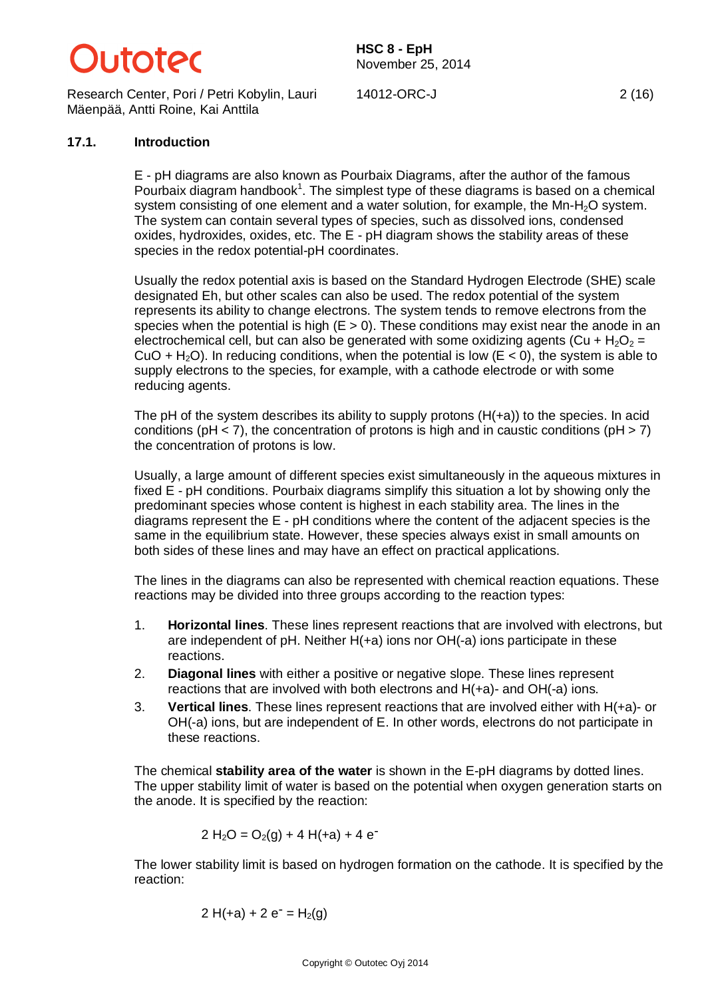

Research Center, Pori / Petri Kobylin, Lauri Mäenpää, Antti Roine, Kai Anttila

**HSC 8 - EpH** November 25, 2014

14012-ORC-J 2 (16)

## **17.1. Introduction**

E - pH diagrams are also known as Pourbaix Diagrams, after the author of the famous Pourbaix diagram handbook<sup>1</sup>. The simplest type of these diagrams is based on a chemical system consisting of one element and a water solution, for example, the Mn-H<sub>2</sub>O system. The system can contain several types of species, such as dissolved ions, condensed oxides, hydroxides, oxides, etc. The E - pH diagram shows the stability areas of these species in the redox potential-pH coordinates.

Usually the redox potential axis is based on the Standard Hydrogen Electrode (SHE) scale designated Eh, but other scales can also be used. The redox potential of the system represents its ability to change electrons. The system tends to remove electrons from the species when the potential is high  $(E > 0)$ . These conditions may exist near the anode in an electrochemical cell, but can also be generated with some oxidizing agents (Cu +  $H_2O_2$  = CuO + H<sub>2</sub>O). In reducing conditions, when the potential is low ( $E < 0$ ), the system is able to supply electrons to the species, for example, with a cathode electrode or with some reducing agents.

The pH of the system describes its ability to supply protons  $(H(+a))$  to the species. In acid conditions ( $pH < 7$ ), the concentration of protons is high and in caustic conditions ( $pH > 7$ ) the concentration of protons is low.

Usually, a large amount of different species exist simultaneously in the aqueous mixtures in fixed E - pH conditions. Pourbaix diagrams simplify this situation a lot by showing only the predominant species whose content is highest in each stability area. The lines in the diagrams represent the E - pH conditions where the content of the adjacent species is the same in the equilibrium state. However, these species always exist in small amounts on both sides of these lines and may have an effect on practical applications.

The lines in the diagrams can also be represented with chemical reaction equations. These reactions may be divided into three groups according to the reaction types:

- 1. **Horizontal lines**. These lines represent reactions that are involved with electrons, but are independent of pH. Neither H(+a) ions nor OH(-a) ions participate in these reactions.
- 2. **Diagonal lines** with either a positive or negative slope. These lines represent reactions that are involved with both electrons and H(+a)- and OH(-a) ions.
- 3. **Vertical lines**. These lines represent reactions that are involved either with H(+a)- or OH(-a) ions, but are independent of E. In other words, electrons do not participate in these reactions.

The chemical **stability area of the water** is shown in the E-pH diagrams by dotted lines. The upper stability limit of water is based on the potential when oxygen generation starts on the anode. It is specified by the reaction:

$$
2 H2O = O2(g) + 4 H(+a) + 4 e-
$$

The lower stability limit is based on hydrogen formation on the cathode. It is specified by the reaction:

$$
2 H(+a) + 2 e^- = H_2(g)
$$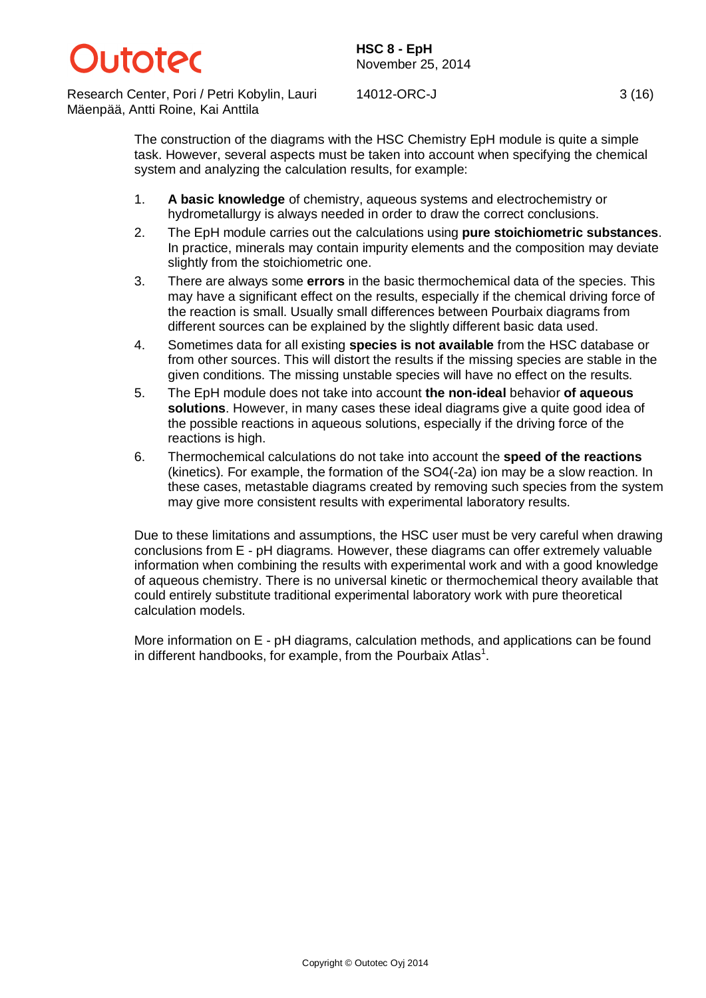## )**I** itater

**HSC 8 - EpH** November 25, 2014

Research Center, Pori / Petri Kobylin, Lauri Mäenpää, Antti Roine, Kai Anttila

14012-ORC-J 3 (16)

The construction of the diagrams with the HSC Chemistry EpH module is quite a simple task. However, several aspects must be taken into account when specifying the chemical system and analyzing the calculation results, for example:

- 1. **A basic knowledge** of chemistry, aqueous systems and electrochemistry or hydrometallurgy is always needed in order to draw the correct conclusions.
- 2. The EpH module carries out the calculations using **pure stoichiometric substances**. In practice, minerals may contain impurity elements and the composition may deviate slightly from the stoichiometric one.
- 3. There are always some **errors** in the basic thermochemical data of the species. This may have a significant effect on the results, especially if the chemical driving force of the reaction is small. Usually small differences between Pourbaix diagrams from different sources can be explained by the slightly different basic data used.
- 4. Sometimes data for all existing **species is not available** from the HSC database or from other sources. This will distort the results if the missing species are stable in the given conditions. The missing unstable species will have no effect on the results.
- 5. The EpH module does not take into account **the non-ideal** behavior **of aqueous solutions**. However, in many cases these ideal diagrams give a quite good idea of the possible reactions in aqueous solutions, especially if the driving force of the reactions is high.
- 6. Thermochemical calculations do not take into account the **speed of the reactions** (kinetics). For example, the formation of the SO4(-2a) ion may be a slow reaction. In these cases, metastable diagrams created by removing such species from the system may give more consistent results with experimental laboratory results.

Due to these limitations and assumptions, the HSC user must be very careful when drawing conclusions from E - pH diagrams. However, these diagrams can offer extremely valuable information when combining the results with experimental work and with a good knowledge of aqueous chemistry. There is no universal kinetic or thermochemical theory available that could entirely substitute traditional experimental laboratory work with pure theoretical calculation models.

More information on E - pH diagrams, calculation methods, and applications can be found in different handbooks, for example, from the Pourbaix Atlas<sup>1</sup>.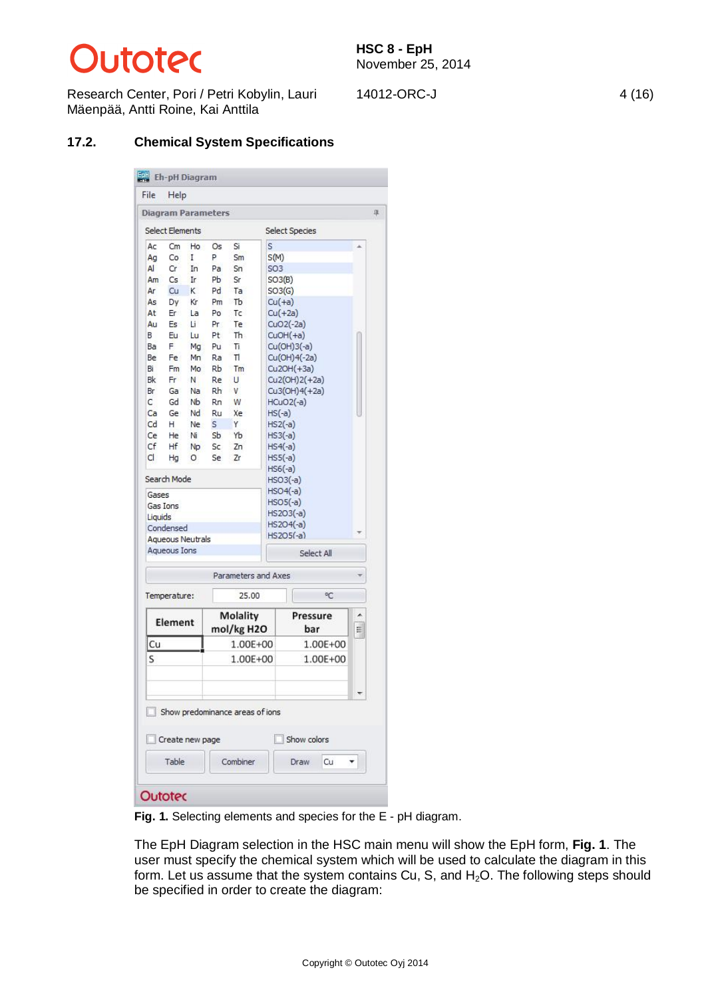# **Dutotec**

Research Center, Pori / Petri Kobylin, Lauri Mäenpää, Antti Roine, Kai Anttila

14012-ORC-J 4 (16)

#### **17.2. Chemical System Specifications**

| <b>Select Elements</b><br>Cm<br>Co |                                                                                                             | <b>Diagram Parameters</b>                                                                                            |                                                                                                                           |                                                                 |                                                                                            |                                                                                                                                                                                                                      |                                                                                                                          |
|------------------------------------|-------------------------------------------------------------------------------------------------------------|----------------------------------------------------------------------------------------------------------------------|---------------------------------------------------------------------------------------------------------------------------|-----------------------------------------------------------------|--------------------------------------------------------------------------------------------|----------------------------------------------------------------------------------------------------------------------------------------------------------------------------------------------------------------------|--------------------------------------------------------------------------------------------------------------------------|
|                                    |                                                                                                             |                                                                                                                      |                                                                                                                           |                                                                 |                                                                                            |                                                                                                                                                                                                                      |                                                                                                                          |
|                                    |                                                                                                             |                                                                                                                      |                                                                                                                           |                                                                 | <b>Select Species</b>                                                                      |                                                                                                                                                                                                                      |                                                                                                                          |
|                                    | Ho                                                                                                          | Os                                                                                                                   | Si                                                                                                                        | s                                                               |                                                                                            |                                                                                                                                                                                                                      |                                                                                                                          |
|                                    | I                                                                                                           | P                                                                                                                    | Sm                                                                                                                        | S(M)                                                            |                                                                                            |                                                                                                                                                                                                                      |                                                                                                                          |
| Cr                                 | In                                                                                                          | Pa                                                                                                                   | Sn                                                                                                                        | SO <sub>3</sub>                                                 |                                                                                            |                                                                                                                                                                                                                      |                                                                                                                          |
| Cs                                 | Ir                                                                                                          | Pb                                                                                                                   | Sr                                                                                                                        | SO3(B)                                                          |                                                                                            |                                                                                                                                                                                                                      |                                                                                                                          |
| Cu                                 | κ                                                                                                           | Pd                                                                                                                   | Ta                                                                                                                        | SO3(G)                                                          |                                                                                            |                                                                                                                                                                                                                      |                                                                                                                          |
| Dy                                 | Кr                                                                                                          | Pm                                                                                                                   | Tb                                                                                                                        | $Cu(+a)$                                                        |                                                                                            |                                                                                                                                                                                                                      |                                                                                                                          |
| Er                                 | La                                                                                                          | Po                                                                                                                   | Tc                                                                                                                        |                                                                 | $Cu(+2a)$                                                                                  |                                                                                                                                                                                                                      |                                                                                                                          |
| Es                                 | Li                                                                                                          | Pr                                                                                                                   | Te                                                                                                                        |                                                                 | $CuO2(-2a)$                                                                                |                                                                                                                                                                                                                      |                                                                                                                          |
| Εu                                 | Lu                                                                                                          | Pt                                                                                                                   | Th.                                                                                                                       |                                                                 | $CuOH(+a)$                                                                                 |                                                                                                                                                                                                                      |                                                                                                                          |
| F                                  | Mg                                                                                                          | Pu                                                                                                                   | Tì.                                                                                                                       |                                                                 | Cu(OH)3(-a)                                                                                |                                                                                                                                                                                                                      |                                                                                                                          |
|                                    |                                                                                                             |                                                                                                                      |                                                                                                                           |                                                                 |                                                                                            |                                                                                                                                                                                                                      |                                                                                                                          |
|                                    |                                                                                                             |                                                                                                                      |                                                                                                                           |                                                                 |                                                                                            |                                                                                                                                                                                                                      |                                                                                                                          |
|                                    |                                                                                                             |                                                                                                                      |                                                                                                                           |                                                                 |                                                                                            |                                                                                                                                                                                                                      |                                                                                                                          |
|                                    |                                                                                                             |                                                                                                                      |                                                                                                                           |                                                                 |                                                                                            |                                                                                                                                                                                                                      |                                                                                                                          |
|                                    |                                                                                                             |                                                                                                                      |                                                                                                                           |                                                                 |                                                                                            |                                                                                                                                                                                                                      |                                                                                                                          |
|                                    |                                                                                                             |                                                                                                                      |                                                                                                                           |                                                                 |                                                                                            |                                                                                                                                                                                                                      |                                                                                                                          |
|                                    |                                                                                                             |                                                                                                                      |                                                                                                                           |                                                                 |                                                                                            |                                                                                                                                                                                                                      |                                                                                                                          |
|                                    |                                                                                                             |                                                                                                                      |                                                                                                                           |                                                                 |                                                                                            |                                                                                                                                                                                                                      |                                                                                                                          |
|                                    |                                                                                                             |                                                                                                                      |                                                                                                                           |                                                                 |                                                                                            |                                                                                                                                                                                                                      |                                                                                                                          |
|                                    |                                                                                                             |                                                                                                                      |                                                                                                                           |                                                                 |                                                                                            |                                                                                                                                                                                                                      |                                                                                                                          |
|                                    |                                                                                                             |                                                                                                                      |                                                                                                                           |                                                                 |                                                                                            |                                                                                                                                                                                                                      |                                                                                                                          |
|                                    |                                                                                                             |                                                                                                                      |                                                                                                                           |                                                                 |                                                                                            |                                                                                                                                                                                                                      |                                                                                                                          |
|                                    |                                                                                                             |                                                                                                                      |                                                                                                                           |                                                                 |                                                                                            |                                                                                                                                                                                                                      |                                                                                                                          |
|                                    |                                                                                                             |                                                                                                                      |                                                                                                                           |                                                                 |                                                                                            |                                                                                                                                                                                                                      |                                                                                                                          |
|                                    |                                                                                                             |                                                                                                                      |                                                                                                                           |                                                                 |                                                                                            |                                                                                                                                                                                                                      |                                                                                                                          |
|                                    |                                                                                                             |                                                                                                                      |                                                                                                                           |                                                                 |                                                                                            |                                                                                                                                                                                                                      |                                                                                                                          |
|                                    |                                                                                                             |                                                                                                                      |                                                                                                                           |                                                                 |                                                                                            |                                                                                                                                                                                                                      |                                                                                                                          |
|                                    |                                                                                                             |                                                                                                                      |                                                                                                                           |                                                                 |                                                                                            |                                                                                                                                                                                                                      |                                                                                                                          |
|                                    |                                                                                                             |                                                                                                                      |                                                                                                                           |                                                                 |                                                                                            |                                                                                                                                                                                                                      |                                                                                                                          |
|                                    |                                                                                                             |                                                                                                                      |                                                                                                                           |                                                                 |                                                                                            | РC                                                                                                                                                                                                                   |                                                                                                                          |
|                                    |                                                                                                             |                                                                                                                      |                                                                                                                           |                                                                 |                                                                                            |                                                                                                                                                                                                                      |                                                                                                                          |
|                                    |                                                                                                             |                                                                                                                      |                                                                                                                           |                                                                 |                                                                                            |                                                                                                                                                                                                                      | Ξ                                                                                                                        |
|                                    |                                                                                                             |                                                                                                                      |                                                                                                                           |                                                                 |                                                                                            |                                                                                                                                                                                                                      |                                                                                                                          |
| Cu<br>S                            |                                                                                                             |                                                                                                                      |                                                                                                                           |                                                                 |                                                                                            |                                                                                                                                                                                                                      |                                                                                                                          |
|                                    |                                                                                                             |                                                                                                                      |                                                                                                                           |                                                                 |                                                                                            |                                                                                                                                                                                                                      |                                                                                                                          |
|                                    |                                                                                                             |                                                                                                                      |                                                                                                                           |                                                                 |                                                                                            |                                                                                                                                                                                                                      |                                                                                                                          |
|                                    |                                                                                                             |                                                                                                                      |                                                                                                                           |                                                                 |                                                                                            |                                                                                                                                                                                                                      |                                                                                                                          |
|                                    |                                                                                                             |                                                                                                                      |                                                                                                                           |                                                                 |                                                                                            |                                                                                                                                                                                                                      |                                                                                                                          |
|                                    |                                                                                                             |                                                                                                                      |                                                                                                                           |                                                                 |                                                                                            |                                                                                                                                                                                                                      |                                                                                                                          |
|                                    |                                                                                                             |                                                                                                                      |                                                                                                                           |                                                                 |                                                                                            |                                                                                                                                                                                                                      |                                                                                                                          |
|                                    |                                                                                                             |                                                                                                                      |                                                                                                                           |                                                                 | Draw                                                                                       | Сu                                                                                                                                                                                                                   |                                                                                                                          |
|                                    | Fe:<br>Fm<br>Fr.<br>Ga<br>Gd<br>Ge<br>н<br>He<br>Ηf<br>Hg<br>Gases<br>Gas Ions<br>Liquids<br><b>Outotec</b> | Mn<br>Mo<br>N<br>Na<br>Nb<br>Νi<br>0<br>Search Mode<br>Condensed<br>Aqueous Ions<br>Temperature:<br>Element<br>Table | Ra<br>Rb<br>Re<br>Rh<br>Rn<br>Nd<br>Ru<br>s<br>Ne<br>Sb.<br>Np.<br>Sc<br>Se<br><b>Aqueous Neutrals</b><br>Create new page | Π<br>Tm<br>U<br>V<br>W<br>Xe<br>Υ<br>Yb<br>Zn<br>Zr<br>Combiner | 25.00<br>Molality<br>mol/kg H2O<br>1.00E+00<br>1.00E+00<br>Show predominance areas of ions | $Cu2OH(+3a)$<br>$HCuO2(-a)$<br>$HS(-a)$<br>$HS2(-a)$<br>$HS3(-a)$<br>$HS4(-a)$<br>$HS5(-a)$<br>$HS6(-a)$<br>$HSO3(-a)$<br>$HSO4(-a)$<br>$HSO5(-a)$<br>HS2O3(-a)<br>$HS2O4(-a)$<br>$HS2O5(-a)$<br>Parameters and Axes | Cu(OH)4(-2a)<br>$Cu2(OH)2(+2a)$<br>Cu3(OH)4(+2a)<br>Select All<br>Pressure<br>bar<br>1.00E+00<br>1.00E+00<br>Show colors |

**Fig. 1.** Selecting elements and species for the E - pH diagram.

The EpH Diagram selection in the HSC main menu will show the EpH form, **Fig. 1**. The user must specify the chemical system which will be used to calculate the diagram in this form. Let us assume that the system contains Cu, S, and  $H<sub>2</sub>O$ . The following steps should be specified in order to create the diagram: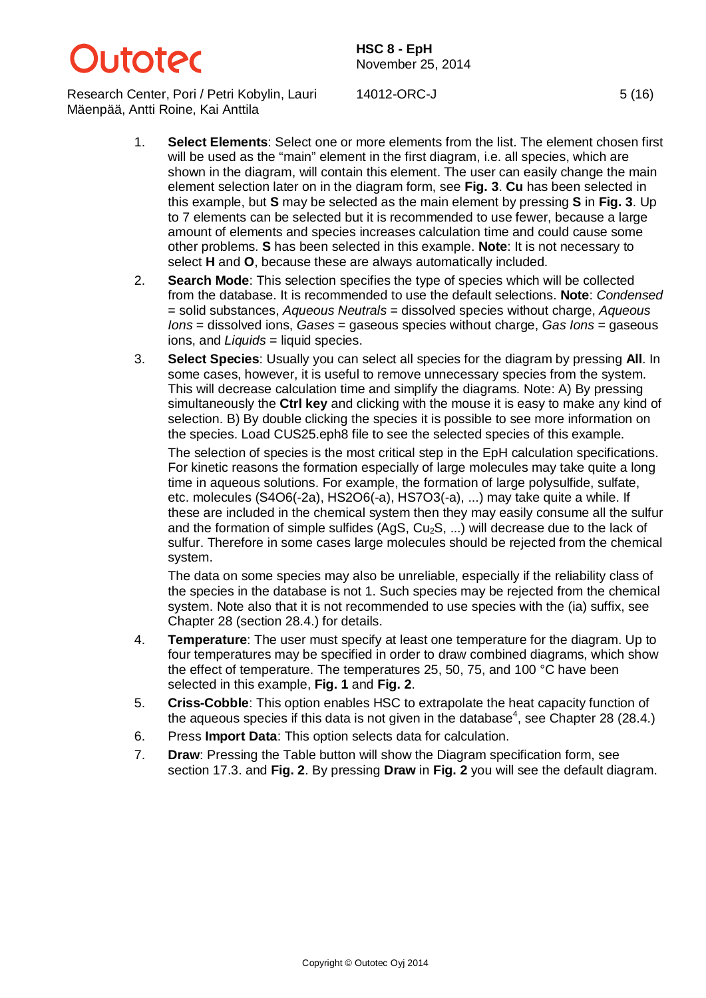

Research Center, Pori / Petri Kobylin, Lauri Mäenpää, Antti Roine, Kai Anttila

14012-ORC-J 5 (16)

- 
- 1. **Select Elements**: Select one or more elements from the list. The element chosen first will be used as the "main" element in the first diagram, i.e. all species, which are shown in the diagram, will contain this element. The user can easily change the main element selection later on in the diagram form, see **Fig. 3**. **Cu** has been selected in this example, but **S** may be selected as the main element by pressing **S** in **Fig. 3**. Up to 7 elements can be selected but it is recommended to use fewer, because a large amount of elements and species increases calculation time and could cause some other problems. **S** has been selected in this example. **Note**: It is not necessary to select **H** and **O**, because these are always automatically included.
- 2. **Search Mode**: This selection specifies the type of species which will be collected from the database. It is recommended to use the default selections. **Note**: *Condensed* = solid substances, *Aqueous Neutrals* = dissolved species without charge, *Aqueous Ions* = dissolved ions, *Gases* = gaseous species without charge, *Gas Ions* = gaseous ions, and *Liquids* = liquid species.
- 3. **Select Species**: Usually you can select all species for the diagram by pressing **All**. In some cases, however, it is useful to remove unnecessary species from the system. This will decrease calculation time and simplify the diagrams. Note: A) By pressing simultaneously the **Ctrl key** and clicking with the mouse it is easy to make any kind of selection. B) By double clicking the species it is possible to see more information on the species. Load CUS25.eph8 file to see the selected species of this example.

The selection of species is the most critical step in the EpH calculation specifications. For kinetic reasons the formation especially of large molecules may take quite a long time in aqueous solutions. For example, the formation of large polysulfide, sulfate, etc. molecules (S4O6(-2a), HS2O6(-a), HS7O3(-a), ...) may take quite a while. If these are included in the chemical system then they may easily consume all the sulfur and the formation of simple sulfides (AqS,  $Cu<sub>2</sub>S$ , ...) will decrease due to the lack of sulfur. Therefore in some cases large molecules should be rejected from the chemical system.

The data on some species may also be unreliable, especially if the reliability class of the species in the database is not 1. Such species may be rejected from the chemical system. Note also that it is not recommended to use species with the (ia) suffix, see Chapter 28 (section 28.4.) for details.

- 4. **Temperature**: The user must specify at least one temperature for the diagram. Up to four temperatures may be specified in order to draw combined diagrams, which show the effect of temperature. The temperatures 25, 50, 75, and 100 °C have been selected in this example, **Fig. 1** and **Fig. 2**.
- 5. **Criss-Cobble**: This option enables HSC to extrapolate the heat capacity function of the aqueous species if this data is not given in the database<sup>4</sup>, see Chapter 28 (28.4.)
- 6. Press **Import Data**: This option selects data for calculation.
- 7. **Draw**: Pressing the Table button will show the Diagram specification form, see section 17.3. and **Fig. 2**. By pressing **Draw** in **Fig. 2** you will see the default diagram.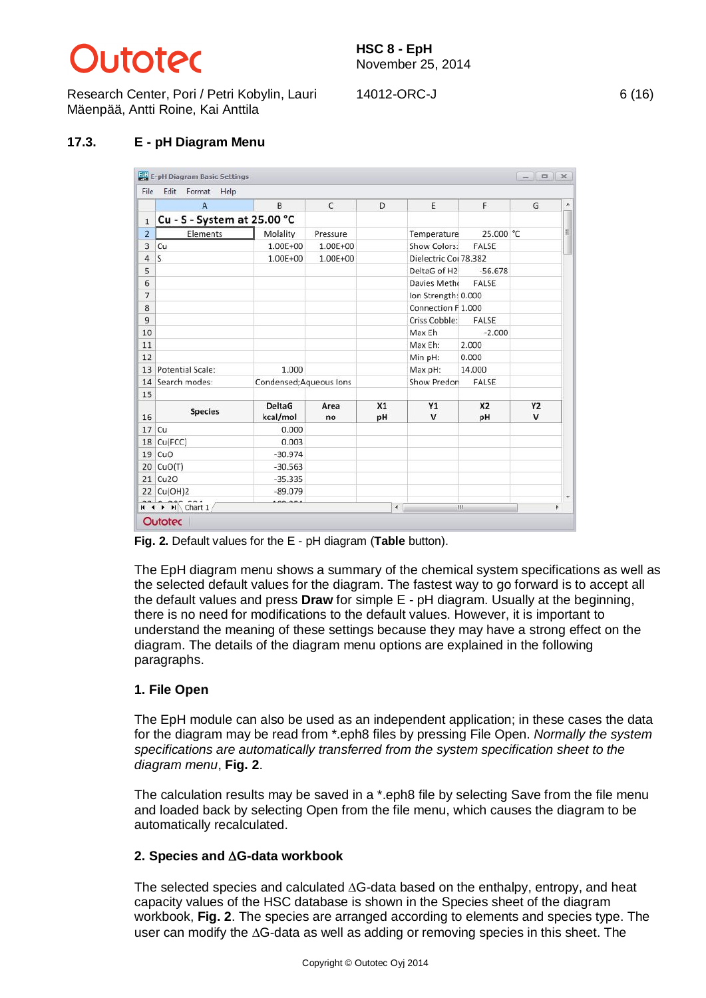# **Litater**

Research Center, Pori / Petri Kobylin, Lauri Mäenpää, Antti Roine, Kai Anttila

## **17.3. E - pH Diagram Menu**

|                | $\overline{A}$              | B                         | $\mathsf{C}$ | D        | E                     | F.                   | G                         |
|----------------|-----------------------------|---------------------------|--------------|----------|-----------------------|----------------------|---------------------------|
| $\mathbf{1}$   | Cu - S - System at 25.00 °C |                           |              |          |                       |                      |                           |
| $\overline{2}$ | Elements                    | Molality                  | Pressure     |          | Temperature           | 25.000 °C            |                           |
| 3              | Cu                          | 1.00E+00                  | 1.00E+00     |          | Show Colors:          | FALSE                |                           |
| $\overline{a}$ | S.                          | 1.00E+00                  | 1.00E+00     |          | Dielectric Coi 78.382 |                      |                           |
| 5              |                             |                           |              |          | DeltaG of H2          | $-56.678$            |                           |
| 6              |                             |                           |              |          | Davies Metho          | FALSE                |                           |
| $\overline{7}$ |                             |                           |              |          | Ion Strength: 0.000   |                      |                           |
| 8              |                             |                           |              |          | Connection F 1.000    |                      |                           |
| 9              |                             |                           |              |          | Criss Cobble:         | FALSE                |                           |
| 10             |                             |                           |              |          | Max Eh                | $-2.000$             |                           |
| 11             |                             |                           |              |          | Max Eh:               | 2.000                |                           |
| 12             |                             |                           |              |          | Min pH:               | 0.000                |                           |
| 13             | Potential Scale:            | 1.000                     |              |          | Max pH:               | 14.000               |                           |
| 14             | Search modes:               | Condensed;Aqueous Ions    |              |          | Show Predon           | FALSE                |                           |
| 15             |                             |                           |              |          |                       |                      |                           |
| 16             | <b>Species</b>              | <b>DeltaG</b><br>kcal/mol | Area<br>no   | X1<br>pH | Y1<br>$\mathsf{v}$    | X <sub>2</sub><br>pH | <b>Y2</b><br>$\mathsf{v}$ |
| 17             | Cu                          | 0.000                     |              |          |                       |                      |                           |
| 18             | Cu(FCC)                     | 0.003                     |              |          |                       |                      |                           |
| 19             | CuO                         | $-30.974$                 |              |          |                       |                      |                           |
| 20             | CuO(T)                      | $-30.563$                 |              |          |                       |                      |                           |
| 21             | Cu <sub>2O</sub>            | $-35.335$                 |              |          |                       |                      |                           |
|                | 22 Cu(OH)2                  | $-89.079$                 |              |          |                       |                      |                           |

**Fig. 2.** Default values for the E - pH diagram (**Table** button).

The EpH diagram menu shows a summary of the chemical system specifications as well as the selected default values for the diagram. The fastest way to go forward is to accept all the default values and press **Draw** for simple E - pH diagram. Usually at the beginning, there is no need for modifications to the default values. However, it is important to understand the meaning of these settings because they may have a strong effect on the diagram. The details of the diagram menu options are explained in the following paragraphs.

## **1. File Open**

The EpH module can also be used as an independent application; in these cases the data for the diagram may be read from \*.eph8 files by pressing File Open. *Normally the system specifications are automatically transferred from the system specification sheet to the diagram menu*, **Fig. 2**.

The calculation results may be saved in a \*.eph8 file by selecting Save from the file menu and loaded back by selecting Open from the file menu, which causes the diagram to be automatically recalculated.

## **2. Species and** '**G-data workbook**

The selected species and calculated  $\Delta G$ -data based on the enthalpy, entropy, and heat capacity values of the HSC database is shown in the Species sheet of the diagram workbook, **Fig. 2**. The species are arranged according to elements and species type. The user can modify the  $\Delta G$ -data as well as adding or removing species in this sheet. The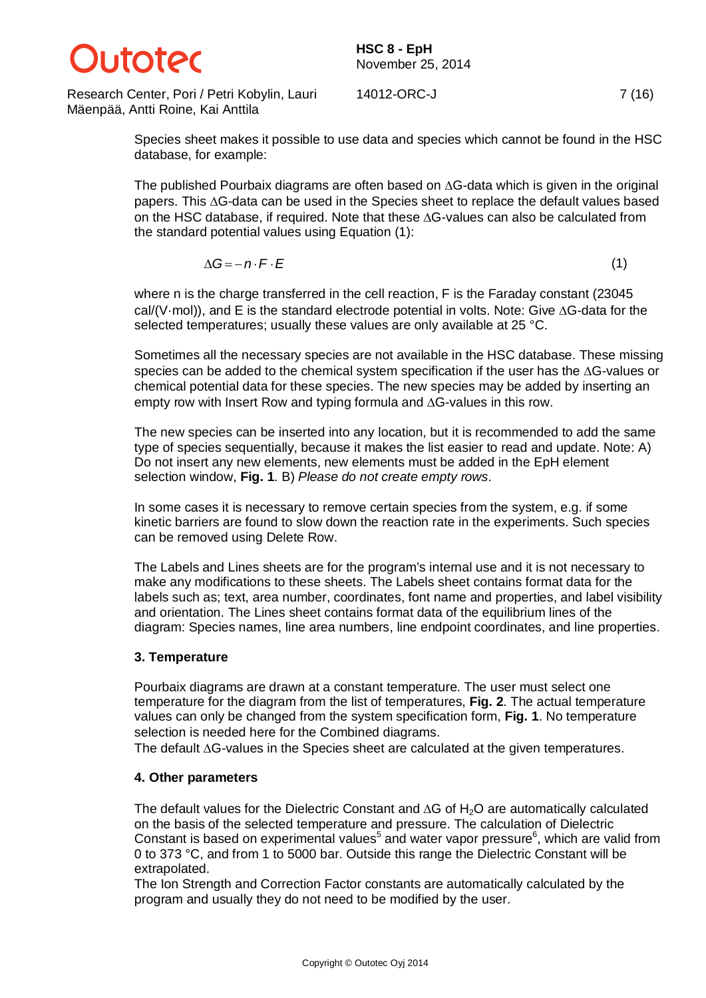

Research Center, Pori / Petri Kobylin, Lauri Mäenpää, Antti Roine, Kai Anttila

14012-ORC-J 7 (16)

Species sheet makes it possible to use data and species which cannot be found in the HSC database, for example:

The published Pourbaix diagrams are often based on  $\Delta G$ -data which is given in the original papers. This  $\Delta G$ -data can be used in the Species sheet to replace the default values based on the HSC database, if required. Note that these  $\Delta G$ -values can also be calculated from the standard potential values using Equation (1):

$$
\Delta G = -n \cdot F \cdot E \tag{1}
$$

where n is the charge transferred in the cell reaction, F is the Faraday constant (23045  $cal(V/mol)$ ), and E is the standard electrode potential in volts. Note: Give  $\Delta G$ -data for the selected temperatures; usually these values are only available at 25 °C.

Sometimes all the necessary species are not available in the HSC database. These missing species can be added to the chemical system specification if the user has the  $\Delta G$ -values or chemical potential data for these species. The new species may be added by inserting an empty row with Insert Row and typing formula and  $\Delta G$ -values in this row.

The new species can be inserted into any location, but it is recommended to add the same type of species sequentially, because it makes the list easier to read and update. Note: A) Do not insert any new elements, new elements must be added in the EpH element selection window, **Fig. 1**. B) *Please do not create empty rows*.

In some cases it is necessary to remove certain species from the system, e.g. if some kinetic barriers are found to slow down the reaction rate in the experiments. Such species can be removed using Delete Row.

The Labels and Lines sheets are for the program's internal use and it is not necessary to make any modifications to these sheets. The Labels sheet contains format data for the labels such as; text, area number, coordinates, font name and properties, and label visibility and orientation. The Lines sheet contains format data of the equilibrium lines of the diagram: Species names, line area numbers, line endpoint coordinates, and line properties.

#### **3. Temperature**

Pourbaix diagrams are drawn at a constant temperature. The user must select one temperature for the diagram from the list of temperatures, **Fig. 2**. The actual temperature values can only be changed from the system specification form, **Fig. 1**. No temperature selection is needed here for the Combined diagrams.

The default  $\Delta G$ -values in the Species sheet are calculated at the given temperatures.

#### **4. Other parameters**

The default values for the Dielectric Constant and  $\Delta G$  of H<sub>2</sub>O are automatically calculated on the basis of the selected temperature and pressure. The calculation of Dielectric Constant is based on experimental values<sup>5</sup> and water vapor pressure<sup>6</sup>, which are valid from 0 to 373 °C, and from 1 to 5000 bar. Outside this range the Dielectric Constant will be extrapolated.

The Ion Strength and Correction Factor constants are automatically calculated by the program and usually they do not need to be modified by the user.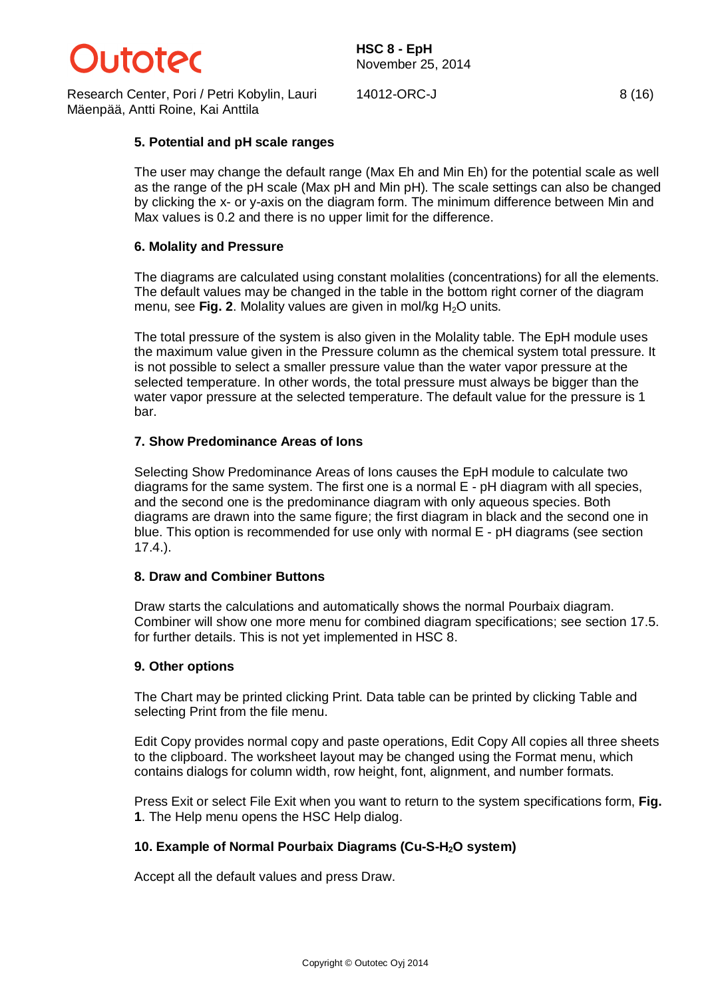

Research Center, Pori / Petri Kobylin, Lauri Mäenpää, Antti Roine, Kai Anttila

14012-ORC-J 8 (16)

#### **5. Potential and pH scale ranges**

The user may change the default range (Max Eh and Min Eh) for the potential scale as well as the range of the pH scale (Max pH and Min pH). The scale settings can also be changed by clicking the x- or y-axis on the diagram form. The minimum difference between Min and Max values is 0.2 and there is no upper limit for the difference.

#### **6. Molality and Pressure**

The diagrams are calculated using constant molalities (concentrations) for all the elements. The default values may be changed in the table in the bottom right corner of the diagram menu, see **Fig. 2**. Molality values are given in mol/kg H<sub>2</sub>O units.

The total pressure of the system is also given in the Molality table. The EpH module uses the maximum value given in the Pressure column as the chemical system total pressure. It is not possible to select a smaller pressure value than the water vapor pressure at the selected temperature. In other words, the total pressure must always be bigger than the water vapor pressure at the selected temperature. The default value for the pressure is 1 bar.

#### **7. Show Predominance Areas of Ions**

Selecting Show Predominance Areas of Ions causes the EpH module to calculate two diagrams for the same system. The first one is a normal E - pH diagram with all species, and the second one is the predominance diagram with only aqueous species. Both diagrams are drawn into the same figure; the first diagram in black and the second one in blue. This option is recommended for use only with normal E - pH diagrams (see section 17.4.).

#### **8. Draw and Combiner Buttons**

Draw starts the calculations and automatically shows the normal Pourbaix diagram. Combiner will show one more menu for combined diagram specifications; see section 17.5. for further details. This is not yet implemented in HSC 8.

#### **9. Other options**

The Chart may be printed clicking Print. Data table can be printed by clicking Table and selecting Print from the file menu.

Edit Copy provides normal copy and paste operations, Edit Copy All copies all three sheets to the clipboard. The worksheet layout may be changed using the Format menu, which contains dialogs for column width, row height, font, alignment, and number formats.

Press Exit or select File Exit when you want to return to the system specifications form, **Fig. 1**. The Help menu opens the HSC Help dialog.

## **10. Example of Normal Pourbaix Diagrams (Cu-S-H2O system)**

Accept all the default values and press Draw.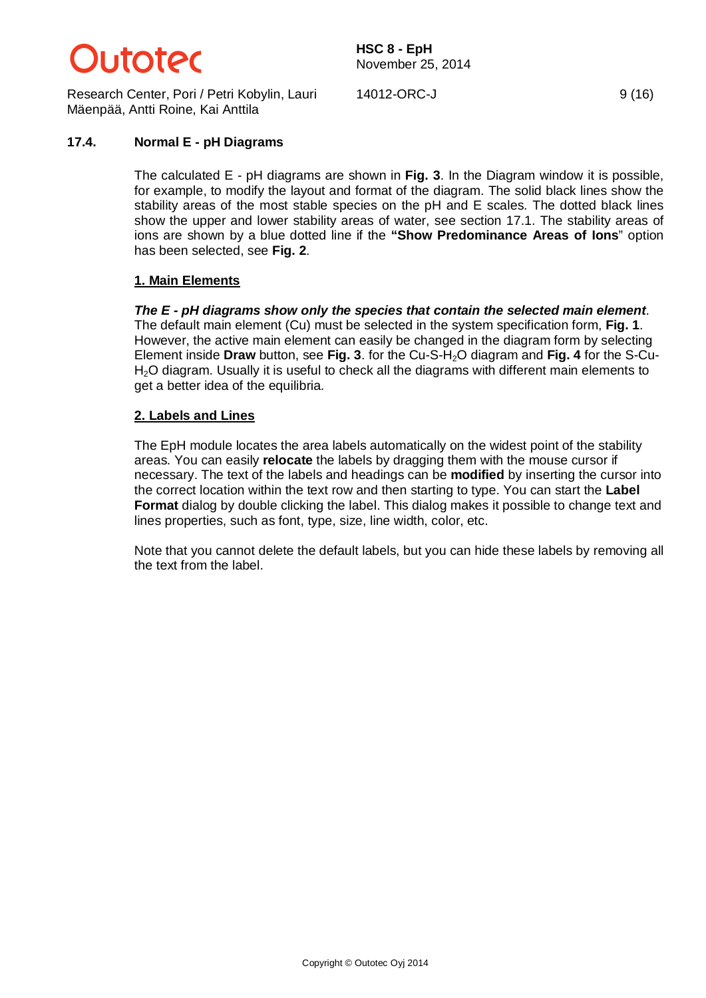

Research Center, Pori / Petri Kobylin, Lauri Mäenpää, Antti Roine, Kai Anttila

14012-ORC-J 9 (16)

#### **17.4. Normal E - pH Diagrams**

The calculated E - pH diagrams are shown in **Fig. 3**. In the Diagram window it is possible, for example, to modify the layout and format of the diagram. The solid black lines show the stability areas of the most stable species on the pH and E scales. The dotted black lines show the upper and lower stability areas of water, see section 17.1. The stability areas of ions are shown by a blue dotted line if the **"Show Predominance Areas of Ions**" option has been selected, see **Fig. 2**.

#### **1. Main Elements**

*The E - pH diagrams show only the species that contain the selected main element*. The default main element (Cu) must be selected in the system specification form, **Fig. 1**. However, the active main element can easily be changed in the diagram form by selecting Element inside **Draw** button, see **Fig. 3**. for the Cu-S-H2O diagram and **Fig. 4** for the S-Cu-H<sub>2</sub>O diagram. Usually it is useful to check all the diagrams with different main elements to get a better idea of the equilibria.

#### **2. Labels and Lines**

The EpH module locates the area labels automatically on the widest point of the stability areas. You can easily **relocate** the labels by dragging them with the mouse cursor if necessary. The text of the labels and headings can be **modified** by inserting the cursor into the correct location within the text row and then starting to type. You can start the **Label Format** dialog by double clicking the label. This dialog makes it possible to change text and lines properties, such as font, type, size, line width, color, etc.

Note that you cannot delete the default labels, but you can hide these labels by removing all the text from the label.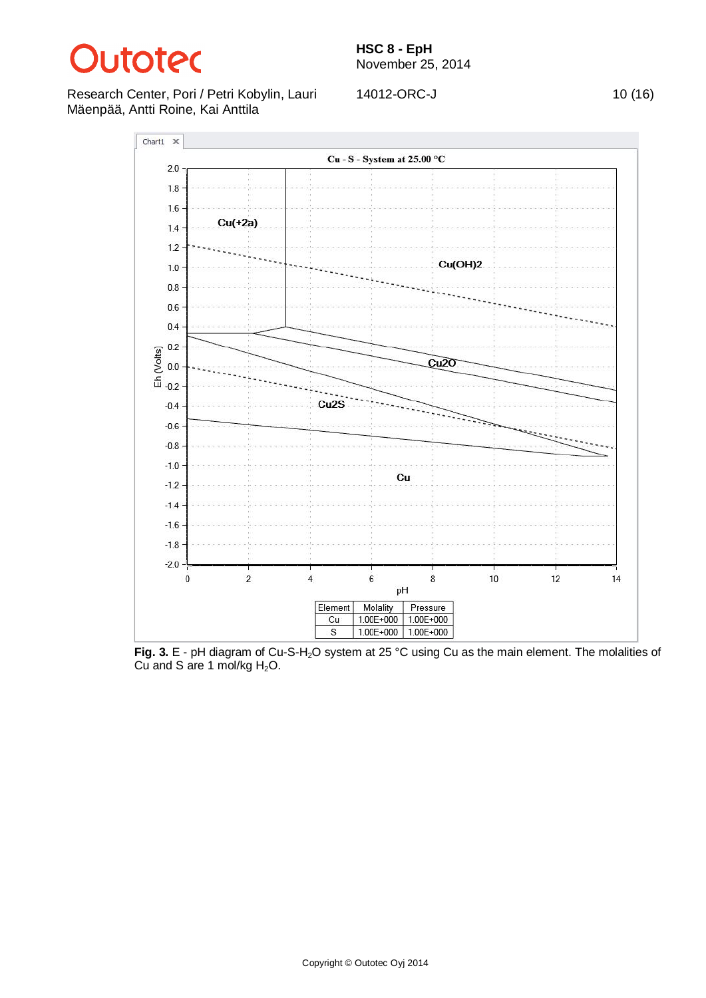

Research Center, Pori / Petri Kobylin, Lauri Mäenpää, Antti Roine, Kai Anttila

14012-ORC-J 10 (16)



**Fig. 3.** E - pH diagram of Cu-S-H2O system at 25 °C using Cu as the main element. The molalities of Cu and S are 1 mol/kg  $H_2O$ .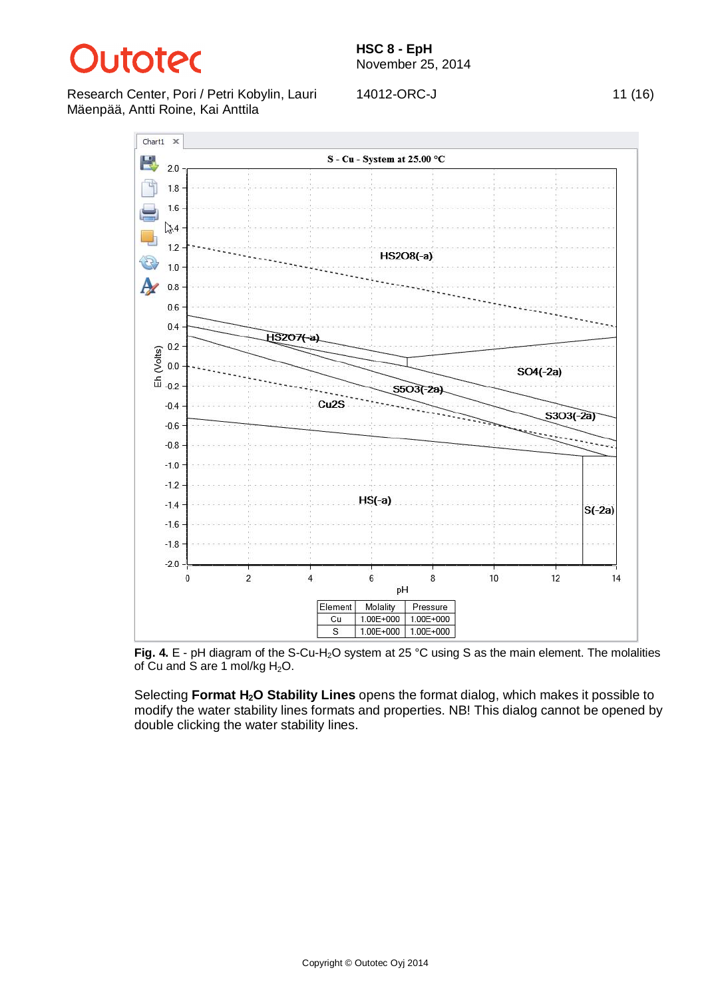

Research Center, Pori / Petri Kobylin, Lauri Mäenpää, Antti Roine, Kai Anttila

14012-ORC-J 11 (16)



Fig. 4. E - pH diagram of the S-Cu-H<sub>2</sub>O system at 25 °C using S as the main element. The molalities of Cu and S are 1 mol/kg  $H_2O$ .

Selecting **Format H2O Stability Lines** opens the format dialog, which makes it possible to modify the water stability lines formats and properties. NB! This dialog cannot be opened by double clicking the water stability lines.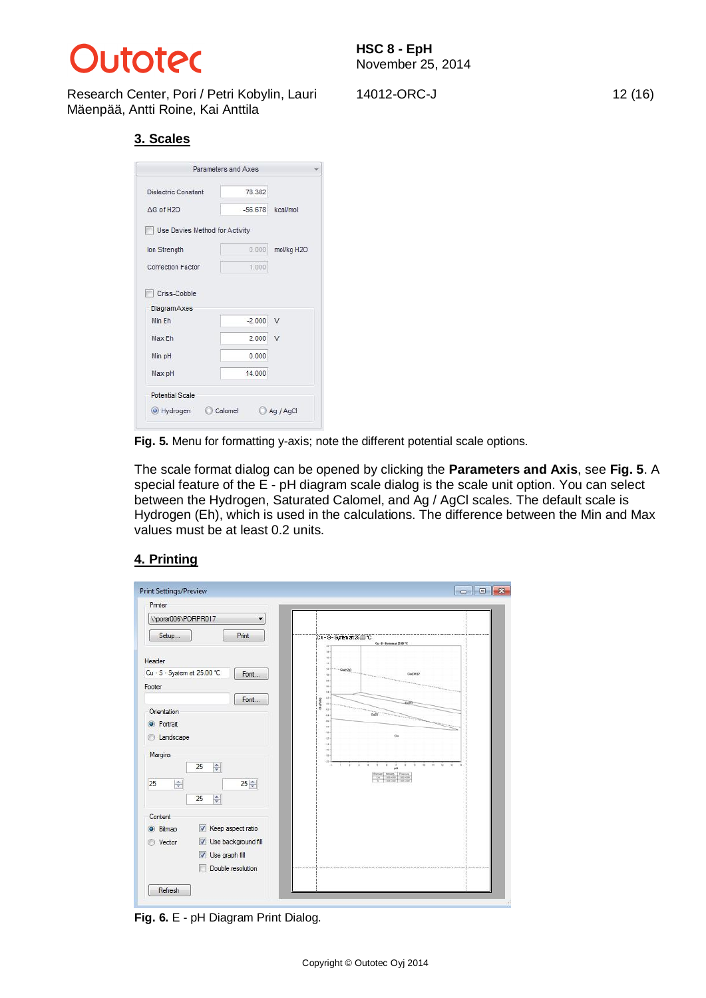

Research Center, Pori / Petri Kobylin, Lauri Mäenpää, Antti Roine, Kai Anttila

## **3. Scales**

|                                | Parameters and Axes |            |
|--------------------------------|---------------------|------------|
| Dielectric Constant            | 78.382              |            |
| AG of H2O                      | $-56678$            | kcal/mol   |
| Use Davies Method for Activity |                     |            |
| Ion Strength                   | 0.000               | mol/kg H2O |
| Correction Factor              | 1.000               |            |
| Diagram Axes<br>Min Fh         | $-2.000$            | $\sqrt{ }$ |
|                                |                     |            |
| Max Eh                         | 2.000               | V          |
| Min pH                         | 0.000               |            |
| Max pH                         | 14,000              |            |
|                                |                     |            |
| <b>Potential Scale</b>         |                     |            |

**Fig. 5.** Menu for formatting y-axis; note the different potential scale options.

The scale format dialog can be opened by clicking the **Parameters and Axis**, see **Fig. 5**. A special feature of the E - pH diagram scale dialog is the scale unit option. You can select between the Hydrogen, Saturated Calomel, and Ag / AgCl scales. The default scale is Hydrogen (Eh), which is used in the calculations. The difference between the Min and Max values must be at least 0.2 units.

## **4. Printing**

| Printer                                                                  |                                                                                 |
|--------------------------------------------------------------------------|---------------------------------------------------------------------------------|
| \\porsr006\PORPR017<br>۰                                                 |                                                                                 |
| Print<br>Setup                                                           | Ct-S-System at 25.00 °C<br>Сц - Б - Бучени at 25.00 °С<br>$\mathbf{r}$          |
| Header                                                                   | $\mathbf{u}$<br>$\mathbf{u}$<br>$\mathbf{u}$                                    |
| Cu - S - System at 25.00 °C<br>Font                                      | $+2 -$<br>$-0.0020$<br>Cu(OH)2<br>18                                            |
| Footer                                                                   | 11<br>16<br>$\mathbf{u}$                                                        |
| Font                                                                     | $\mathbb{R}$<br>Ex (Voins)<br>44                                                |
| Orientation                                                              | A0<br>Ou25<br>44                                                                |
| <b>O</b> Portrait                                                        | $\overline{a}$<br>$\overline{a}$                                                |
| Landscape<br>⊙                                                           | $14 -$<br>42<br>14                                                              |
| Margins                                                                  | $16 -$<br>$\alpha$                                                              |
| 25<br>$\div$                                                             | 48<br>×<br>$\mp$<br>$\overline{u}$<br>$^{12}$<br>×<br>$\ddot{\phantom{1}}$<br>× |
| $25\frac{A}{r}$<br>25<br>$\frac{A}{x}$                                   | testany.<br>Parsture<br>1996-000<br>$1200 - 200$<br>1 nor - no 1 nor - no       |
| $\frac{\text{A}}{\text{v}}$<br>25                                        |                                                                                 |
|                                                                          |                                                                                 |
| Content                                                                  |                                                                                 |
| Keep aspect ratio<br>$\overline{\mathbf{v}}$<br>Bitmap<br>$\circledcirc$ |                                                                                 |
| Use background fill<br>V<br>Vector                                       |                                                                                 |
| V Use graph fill                                                         |                                                                                 |
| Double resolution                                                        |                                                                                 |

**Fig. 6.** E - pH Diagram Print Dialog.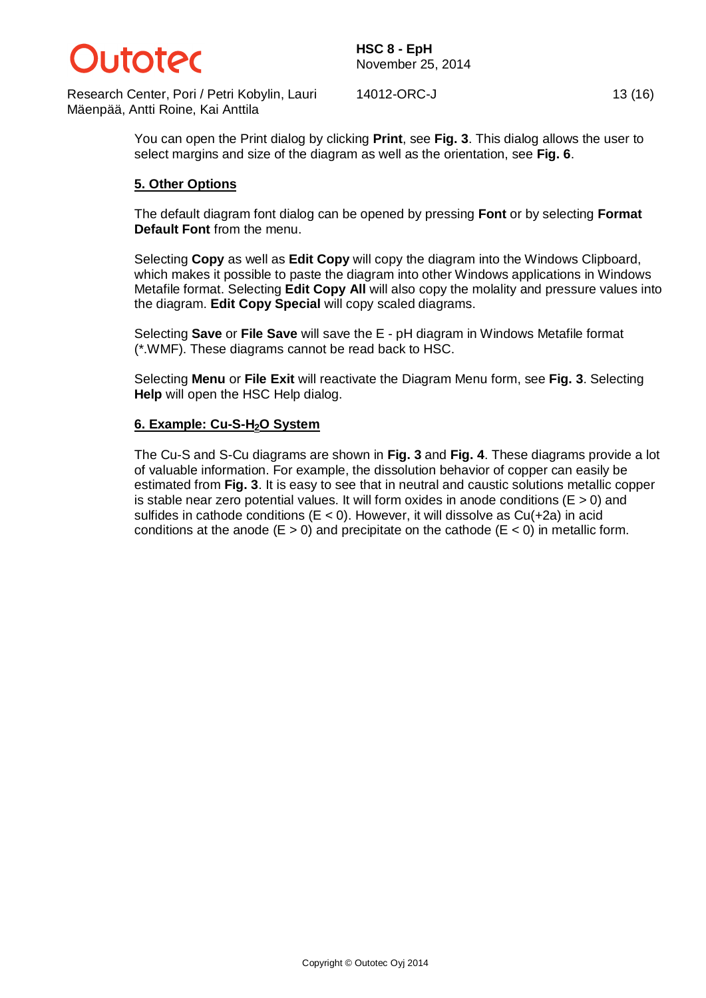

Research Center, Pori / Petri Kobylin, Lauri Mäenpää, Antti Roine, Kai Anttila

14012-ORC-J 13 (16)

You can open the Print dialog by clicking **Print**, see **Fig. 3**. This dialog allows the user to select margins and size of the diagram as well as the orientation, see **Fig. 6**.

#### **5. Other Options**

The default diagram font dialog can be opened by pressing **Font** or by selecting **Format Default Font** from the menu.

Selecting **Copy** as well as **Edit Copy** will copy the diagram into the Windows Clipboard, which makes it possible to paste the diagram into other Windows applications in Windows Metafile format. Selecting **Edit Copy All** will also copy the molality and pressure values into the diagram. **Edit Copy Special** will copy scaled diagrams.

Selecting **Save** or **File Save** will save the E - pH diagram in Windows Metafile format (\*.WMF). These diagrams cannot be read back to HSC.

Selecting **Menu** or **File Exit** will reactivate the Diagram Menu form, see **Fig. 3**. Selecting **Help** will open the HSC Help dialog.

#### **6. Example: Cu-S-H2O System**

The Cu-S and S-Cu diagrams are shown in **Fig. 3** and **Fig. 4**. These diagrams provide a lot of valuable information. For example, the dissolution behavior of copper can easily be estimated from **Fig. 3**. It is easy to see that in neutral and caustic solutions metallic copper is stable near zero potential values. It will form oxides in anode conditions ( $E > 0$ ) and sulfides in cathode conditions ( $E < 0$ ). However, it will dissolve as  $Cu(+2a)$  in acid conditions at the anode  $(E > 0)$  and precipitate on the cathode  $(E < 0)$  in metallic form.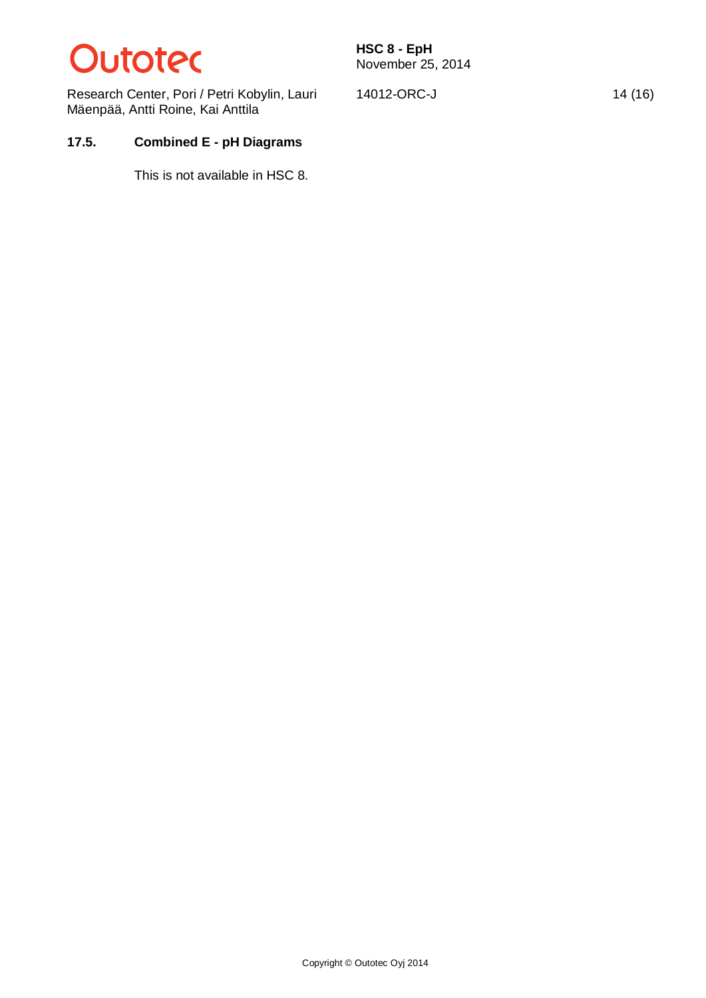## **Dutotec**

Research Center, Pori / Petri Kobylin, Lauri Mäenpää, Antti Roine, Kai Anttila

14012-ORC-J 14 (16)

## **17.5. Combined E - pH Diagrams**

This is not available in HSC 8.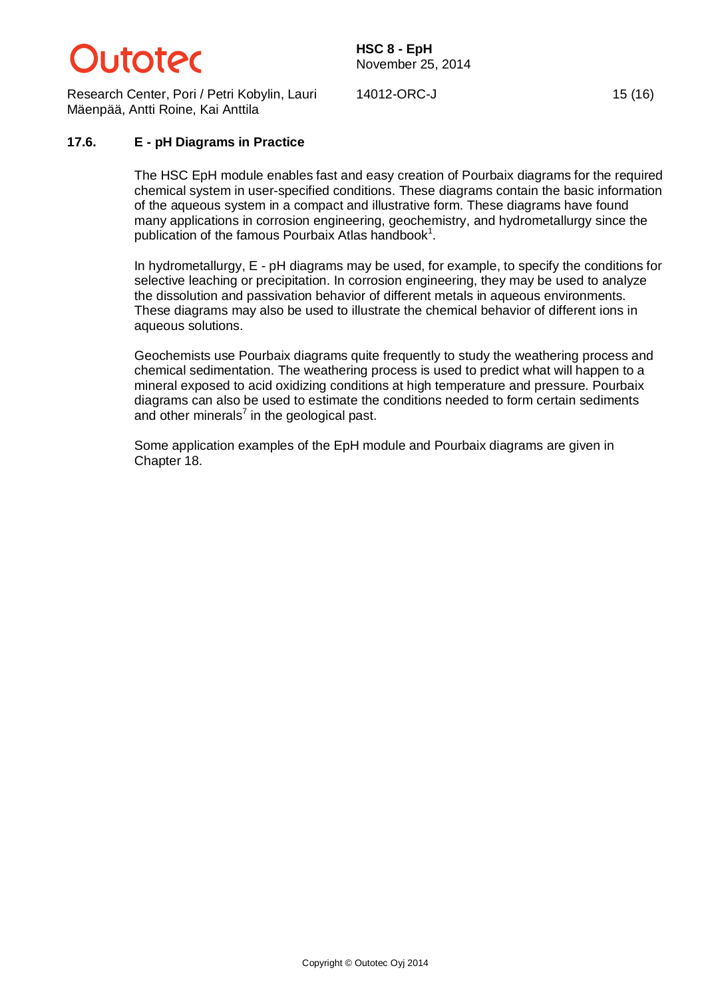

Research Center, Pori / Petri Kobylin, Lauri Mäenpää, Antti Roine, Kai Anttila

14012-ORC-J 15 (16)

#### **17.6. E - pH Diagrams in Practice**

The HSC EpH module enables fast and easy creation of Pourbaix diagrams for the required chemical system in user-specified conditions. These diagrams contain the basic information of the aqueous system in a compact and illustrative form. These diagrams have found many applications in corrosion engineering, geochemistry, and hydrometallurgy since the publication of the famous Pourbaix Atlas handbook<sup>1</sup>.

In hydrometallurgy, E - pH diagrams may be used, for example, to specify the conditions for selective leaching or precipitation. In corrosion engineering, they may be used to analyze the dissolution and passivation behavior of different metals in aqueous environments. These diagrams may also be used to illustrate the chemical behavior of different ions in aqueous solutions.

Geochemists use Pourbaix diagrams quite frequently to study the weathering process and chemical sedimentation. The weathering process is used to predict what will happen to a mineral exposed to acid oxidizing conditions at high temperature and pressure. Pourbaix diagrams can also be used to estimate the conditions needed to form certain sediments and other minerals<sup>7</sup> in the geological past.

Some application examples of the EpH module and Pourbaix diagrams are given in Chapter 18.